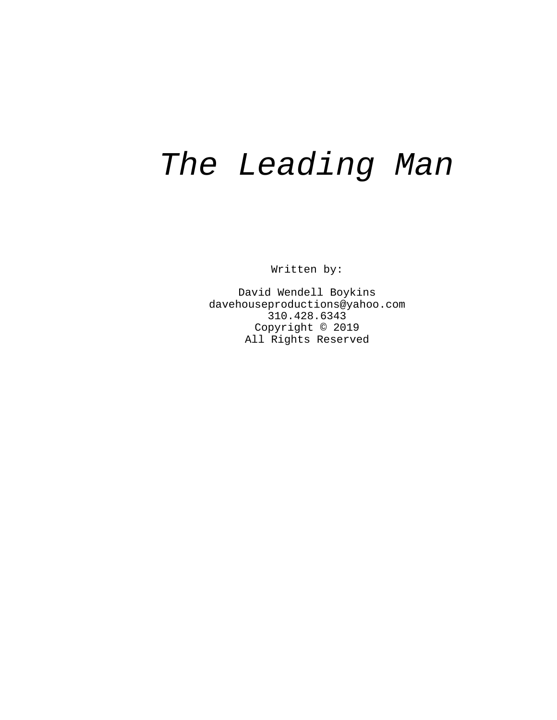# The Leading Man

Written by:

David Wendell Boykins davehouseproductions@yahoo.com 310.428.6343 Copyright © 2019 All Rights Reserved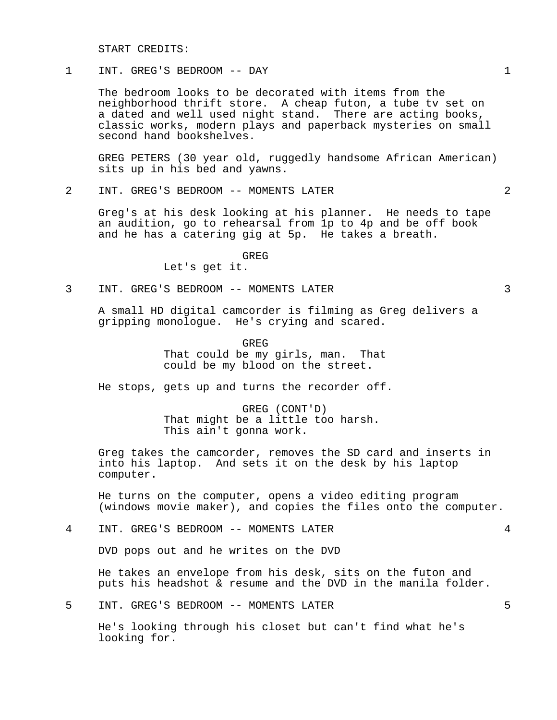START CREDITS:

# 1 INT. GREG'S BEDROOM -- DAY 1

The bedroom looks to be decorated with items from the neighborhood thrift store. A cheap futon, a tube tv set on a dated and well used night stand. There are acting books, classic works, modern plays and paperback mysteries on small second hand bookshelves.

GREG PETERS (30 year old, ruggedly handsome African American) sits up in his bed and yawns.

2 INT. GREG'S BEDROOM -- MOMENTS LATER 2

Greg's at his desk looking at his planner. He needs to tape an audition, go to rehearsal from 1p to 4p and be off book and he has a catering gig at 5p. He takes a breath.

GREG

Let's get it.

3 INT. GREG'S BEDROOM -- MOMENTS LATER 3

A small HD digital camcorder is filming as Greg delivers a gripping monologue. He's crying and scared.

GREG

That could be my girls, man. That could be my blood on the street.

He stops, gets up and turns the recorder off.

GREG (CONT'D) That might be a little too harsh. This ain't gonna work.

Greg takes the camcorder, removes the SD card and inserts in into his laptop. And sets it on the desk by his laptop computer.

He turns on the computer, opens a video editing program (windows movie maker), and copies the files onto the computer.

4 INT. GREG'S BEDROOM -- MOMENTS LATER 4

DVD pops out and he writes on the DVD

He takes an envelope from his desk, sits on the futon and puts his headshot & resume and the DVD in the manila folder.

5 INT. GREG'S BEDROOM -- MOMENTS LATER 5

He's looking through his closet but can't find what he's looking for.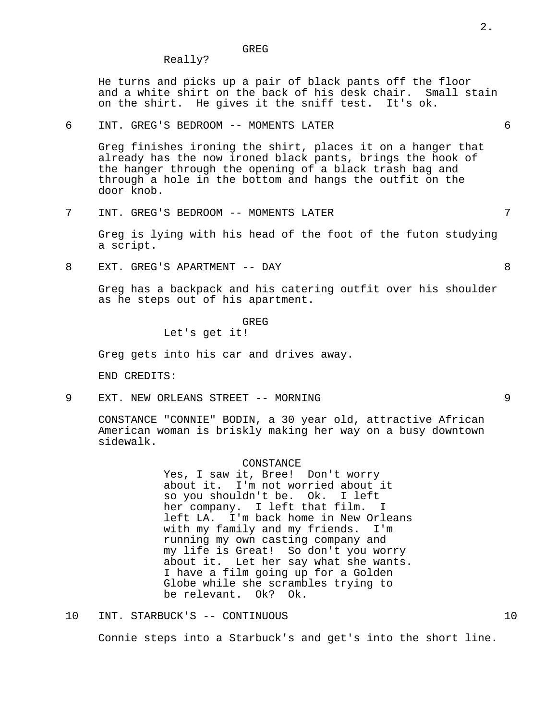GREG

He turns and picks up a pair of black pants off the floor and a white shirt on the back of his desk chair. Small stain on the shirt. He gives it the sniff test. It's ok.

# 6 INT. GREG'S BEDROOM -- MOMENTS LATER 6

Really?

Greg finishes ironing the shirt, places it on a hanger that already has the now ironed black pants, brings the hook of the hanger through the opening of a black trash bag and through a hole in the bottom and hangs the outfit on the door knob.

7 INT. GREG'S BEDROOM -- MOMENTS LATER 7

Greg is lying with his head of the foot of the futon studying a script.

8 EXT. GREG'S APARTMENT -- DAY 8

Greg has a backpack and his catering outfit over his shoulder as he steps out of his apartment.

**GREG** 

Let's get it!

Greg gets into his car and drives away.

END CREDITS:

9 EXT. NEW ORLEANS STREET -- MORNING 9

CONSTANCE "CONNIE" BODIN, a 30 year old, attractive African American woman is briskly making her way on a busy downtown sidewalk.

#### CONSTANCE

Yes, I saw it, Bree! Don't worry about it. I'm not worried about it so you shouldn't be. Ok. I left her company. I left that film. I left LA. I'm back home in New Orleans with my family and my friends. I'm running my own casting company and my life is Great! So don't you worry about it. Let her say what she wants. I have a film going up for a Golden Globe while she scrambles trying to be relevant. Ok? Ok.

10 INT. STARBUCK'S -- CONTINUOUS 10 Connie steps into a Starbuck's and get's into the short line.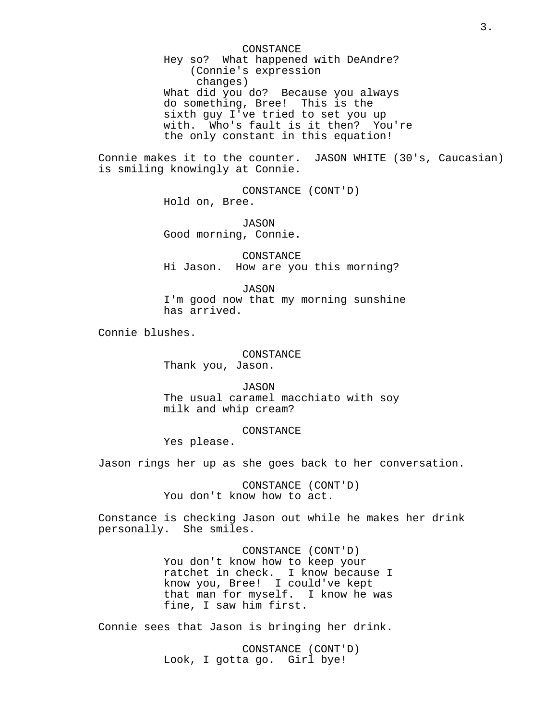CONSTANCE Hey so? What happened with DeAndre? (Connie's expression changes) What did you do? Because you always do something, Bree! This is the sixth guy I've tried to set you up with. Who's fault is it then? You're the only constant in this equation!

Connie makes it to the counter. JASON WHITE (30's, Caucasian) is smiling knowingly at Connie.

> CONSTANCE (CONT'D) Hold on, Bree.

JASON Good morning, Connie.

CONSTANCE Hi Jason. How are you this morning?

JASON I'm good now that my morning sunshine has arrived.

Connie blushes.

### CONSTANCE

Thank you, Jason.

JASON The usual caramel macchiato with soy milk and whip cream?

CONSTANCE

Yes please.

Jason rings her up as she goes back to her conversation.

CONSTANCE (CONT'D) You don't know how to act.

Constance is checking Jason out while he makes her drink personally. She smiles.

> CONSTANCE (CONT'D) You don't know how to keep your ratchet in check. I know because I know you, Bree! I could've kept that man for myself. I know he was fine, I saw him first.

Connie sees that Jason is bringing her drink.

CONSTANCE (CONT'D) Look, I gotta go. Girl bye!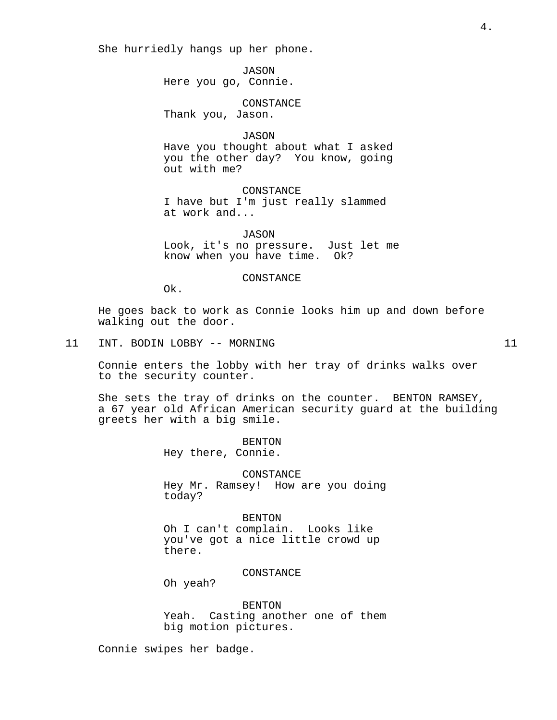She hurriedly hangs up her phone.

JASON Here you go, Connie.

CONSTANCE Thank you, Jason.

JASON Have you thought about what I asked you the other day? You know, going out with me?

CONSTANCE I have but I'm just really slammed at work and...

JASON Look, it's no pressure. Just let me know when you have time. Ok?

#### CONSTANCE

Ok.

He goes back to work as Connie looks him up and down before walking out the door.

## 11 INT. BODIN LOBBY -- MORNING 11

Connie enters the lobby with her tray of drinks walks over to the security counter.

She sets the tray of drinks on the counter. BENTON RAMSEY, a 67 year old African American security guard at the building greets her with a big smile.

> BENTON Hey there, Connie.

CONSTANCE Hey Mr. Ramsey! How are you doing today?

BENTON Oh I can't complain. Looks like you've got a nice little crowd up there.

CONSTANCE

Oh yeah?

BENTON Yeah. Casting another one of them big motion pictures.

Connie swipes her badge.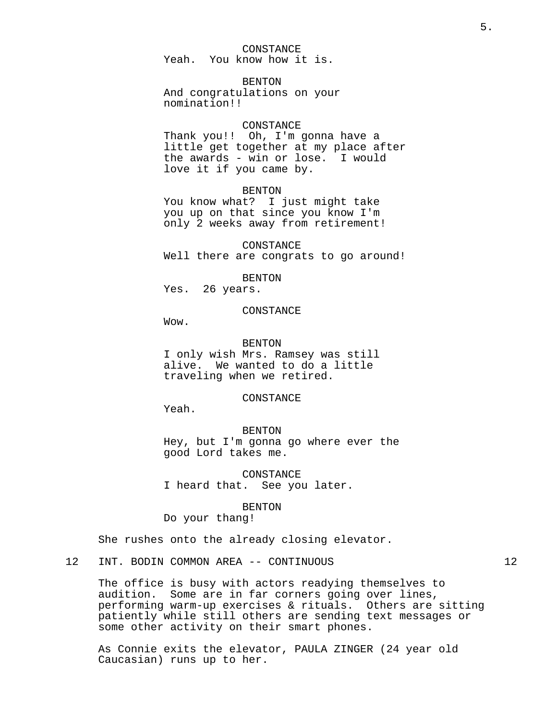CONSTANCE Yeah. You know how it is.

**BENTON** And congratulations on your nomination!!

#### CONSTANCE

Thank you!! Oh, I'm gonna have a little get together at my place after the awards - win or lose. I would love it if you came by.

#### BENTON

You know what? I just might take you up on that since you know I'm only 2 weeks away from retirement!

CONSTANCE Well there are congrats to go around!

BENTON

Yes. 26 years.

#### CONSTANCE

Wow.

BENTON

I only wish Mrs. Ramsey was still alive. We wanted to do a little traveling when we retired.

CONSTANCE

Yeah.

BENTON Hey, but I'm gonna go where ever the good Lord takes me.

CONSTANCE I heard that. See you later.

BENTON

Do your thang!

She rushes onto the already closing elevator.

12 INT. BODIN COMMON AREA -- CONTINUOUS 12

The office is busy with actors readying themselves to audition. Some are in far corners going over lines, performing warm-up exercises & rituals. Others are sitting patiently while still others are sending text messages or some other activity on their smart phones.

As Connie exits the elevator, PAULA ZINGER (24 year old Caucasian) runs up to her.